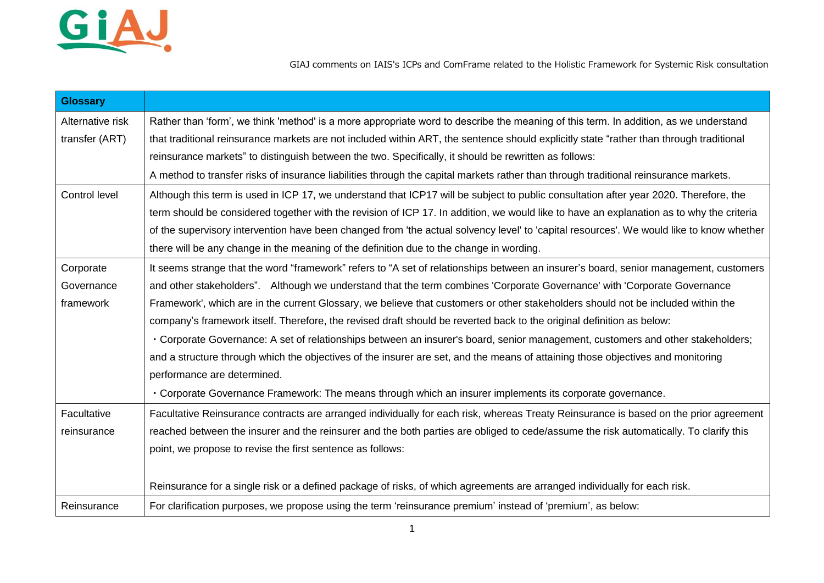

GIAJ comments on IAIS's ICPs and ComFrame related to the Holistic Framework for Systemic Risk consultation

| <b>Glossary</b>  |                                                                                                                                          |
|------------------|------------------------------------------------------------------------------------------------------------------------------------------|
| Alternative risk | Rather than 'form', we think 'method' is a more appropriate word to describe the meaning of this term. In addition, as we understand     |
| transfer (ART)   | that traditional reinsurance markets are not included within ART, the sentence should explicitly state "rather than through traditional  |
|                  | reinsurance markets" to distinguish between the two. Specifically, it should be rewritten as follows:                                    |
|                  | A method to transfer risks of insurance liabilities through the capital markets rather than through traditional reinsurance markets.     |
| Control level    | Although this term is used in ICP 17, we understand that ICP17 will be subject to public consultation after year 2020. Therefore, the    |
|                  | term should be considered together with the revision of ICP 17. In addition, we would like to have an explanation as to why the criteria |
|                  | of the supervisory intervention have been changed from 'the actual solvency level' to 'capital resources'. We would like to know whether |
|                  | there will be any change in the meaning of the definition due to the change in wording.                                                  |
| Corporate        | It seems strange that the word "framework" refers to "A set of relationships between an insurer's board, senior management, customers    |
| Governance       | and other stakeholders". Although we understand that the term combines 'Corporate Governance' with 'Corporate Governance                 |
| framework        | Framework', which are in the current Glossary, we believe that customers or other stakeholders should not be included within the         |
|                  | company's framework itself. Therefore, the revised draft should be reverted back to the original definition as below:                    |
|                  | · Corporate Governance: A set of relationships between an insurer's board, senior management, customers and other stakeholders;          |
|                  | and a structure through which the objectives of the insurer are set, and the means of attaining those objectives and monitoring          |
|                  | performance are determined.                                                                                                              |
|                  | . Corporate Governance Framework: The means through which an insurer implements its corporate governance.                                |
| Facultative      | Facultative Reinsurance contracts are arranged individually for each risk, whereas Treaty Reinsurance is based on the prior agreement    |
| reinsurance      | reached between the insurer and the reinsurer and the both parties are obliged to cede/assume the risk automatically. To clarify this    |
|                  | point, we propose to revise the first sentence as follows:                                                                               |
|                  |                                                                                                                                          |
|                  | Reinsurance for a single risk or a defined package of risks, of which agreements are arranged individually for each risk.                |
| Reinsurance      | For clarification purposes, we propose using the term 'reinsurance premium' instead of 'premium', as below:                              |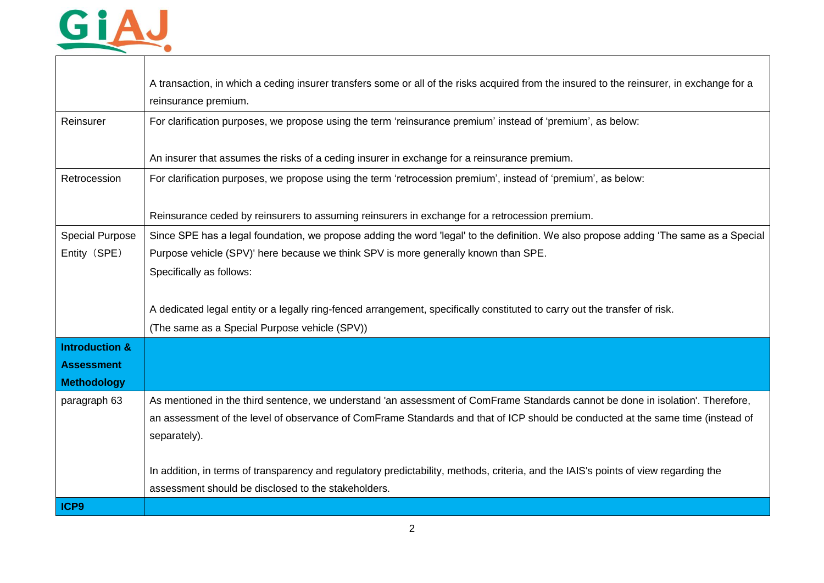

|                           | A transaction, in which a ceding insurer transfers some or all of the risks acquired from the insured to the reinsurer, in exchange for a<br>reinsurance premium. |
|---------------------------|-------------------------------------------------------------------------------------------------------------------------------------------------------------------|
| Reinsurer                 | For clarification purposes, we propose using the term 'reinsurance premium' instead of 'premium', as below:                                                       |
|                           | An insurer that assumes the risks of a ceding insurer in exchange for a reinsurance premium.                                                                      |
| Retrocession              | For clarification purposes, we propose using the term 'retrocession premium', instead of 'premium', as below:                                                     |
|                           | Reinsurance ceded by reinsurers to assuming reinsurers in exchange for a retrocession premium.                                                                    |
| <b>Special Purpose</b>    | Since SPE has a legal foundation, we propose adding the word 'legal' to the definition. We also propose adding 'The same as a Special                             |
| Entity (SPE)              | Purpose vehicle (SPV)' here because we think SPV is more generally known than SPE.                                                                                |
|                           | Specifically as follows:                                                                                                                                          |
|                           |                                                                                                                                                                   |
|                           |                                                                                                                                                                   |
|                           | A dedicated legal entity or a legally ring-fenced arrangement, specifically constituted to carry out the transfer of risk.                                        |
|                           | (The same as a Special Purpose vehicle (SPV))                                                                                                                     |
| <b>Introduction &amp;</b> |                                                                                                                                                                   |
| <b>Assessment</b>         |                                                                                                                                                                   |
| <b>Methodology</b>        |                                                                                                                                                                   |
| paragraph 63              | As mentioned in the third sentence, we understand 'an assessment of ComFrame Standards cannot be done in isolation'. Therefore,                                   |
|                           | an assessment of the level of observance of ComFrame Standards and that of ICP should be conducted at the same time (instead of                                   |
|                           | separately).                                                                                                                                                      |
|                           |                                                                                                                                                                   |
|                           | In addition, in terms of transparency and regulatory predictability, methods, criteria, and the IAIS's points of view regarding the                               |
|                           | assessment should be disclosed to the stakeholders.                                                                                                               |
| <b>ICP9</b>               |                                                                                                                                                                   |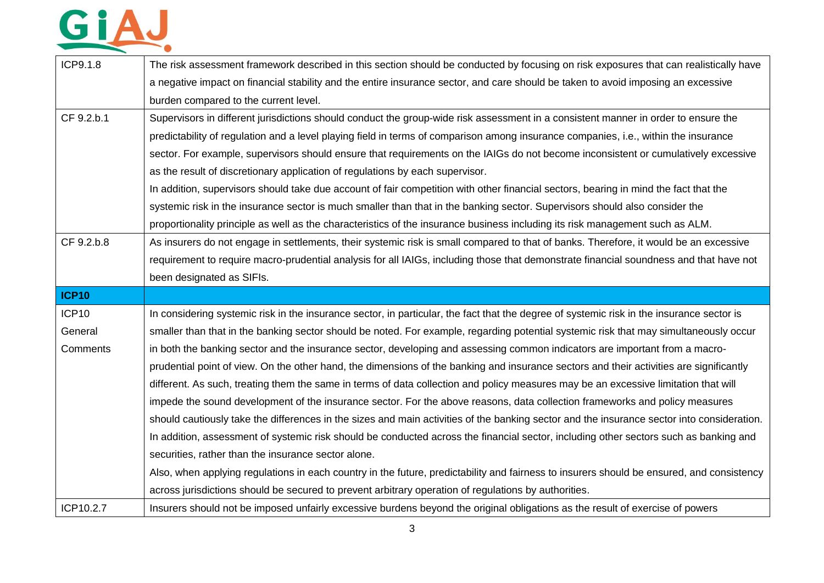| ICP9.1.8     | The risk assessment framework described in this section should be conducted by focusing on risk exposures that can realistically have      |
|--------------|--------------------------------------------------------------------------------------------------------------------------------------------|
|              | a negative impact on financial stability and the entire insurance sector, and care should be taken to avoid imposing an excessive          |
|              | burden compared to the current level.                                                                                                      |
| CF 9.2.b.1   | Supervisors in different jurisdictions should conduct the group-wide risk assessment in a consistent manner in order to ensure the         |
|              | predictability of regulation and a level playing field in terms of comparison among insurance companies, i.e., within the insurance        |
|              | sector. For example, supervisors should ensure that requirements on the IAIGs do not become inconsistent or cumulatively excessive         |
|              | as the result of discretionary application of regulations by each supervisor.                                                              |
|              | In addition, supervisors should take due account of fair competition with other financial sectors, bearing in mind the fact that the       |
|              | systemic risk in the insurance sector is much smaller than that in the banking sector. Supervisors should also consider the                |
|              | proportionality principle as well as the characteristics of the insurance business including its risk management such as ALM.              |
| CF 9.2.b.8   | As insurers do not engage in settlements, their systemic risk is small compared to that of banks. Therefore, it would be an excessive      |
|              | requirement to require macro-prudential analysis for all IAIGs, including those that demonstrate financial soundness and that have not     |
|              | been designated as SIFIs.                                                                                                                  |
|              |                                                                                                                                            |
| <b>ICP10</b> |                                                                                                                                            |
| ICP10        | In considering systemic risk in the insurance sector, in particular, the fact that the degree of systemic risk in the insurance sector is  |
| General      | smaller than that in the banking sector should be noted. For example, regarding potential systemic risk that may simultaneously occur      |
| Comments     | in both the banking sector and the insurance sector, developing and assessing common indicators are important from a macro-                |
|              | prudential point of view. On the other hand, the dimensions of the banking and insurance sectors and their activities are significantly    |
|              | different. As such, treating them the same in terms of data collection and policy measures may be an excessive limitation that will        |
|              | impede the sound development of the insurance sector. For the above reasons, data collection frameworks and policy measures                |
|              | should cautiously take the differences in the sizes and main activities of the banking sector and the insurance sector into consideration. |
|              | In addition, assessment of systemic risk should be conducted across the financial sector, including other sectors such as banking and      |
|              | securities, rather than the insurance sector alone.                                                                                        |
|              | Also, when applying regulations in each country in the future, predictability and fairness to insurers should be ensured, and consistency  |
|              | across jurisdictions should be secured to prevent arbitrary operation of regulations by authorities.                                       |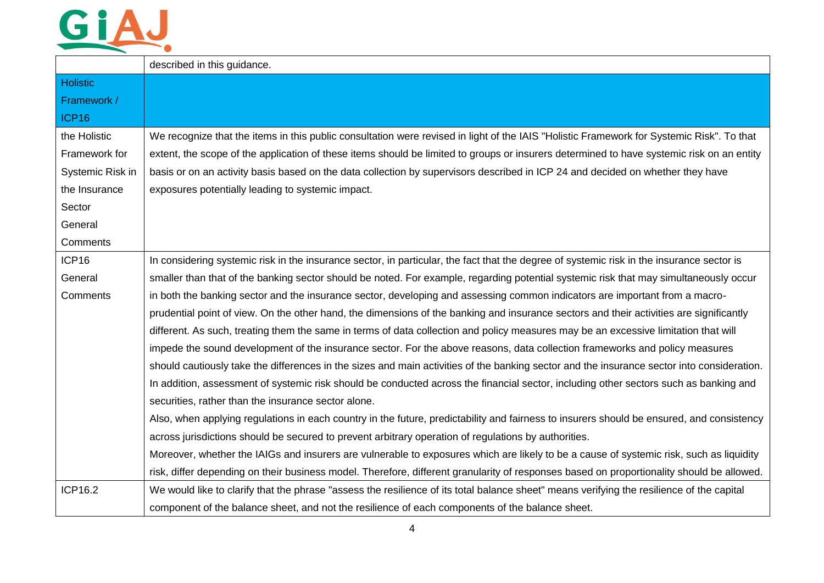|                   | described in this guidance.                                                                                                                |
|-------------------|--------------------------------------------------------------------------------------------------------------------------------------------|
| <b>Holistic</b>   |                                                                                                                                            |
| Framework /       |                                                                                                                                            |
| ICP <sub>16</sub> |                                                                                                                                            |
| the Holistic      | We recognize that the items in this public consultation were revised in light of the IAIS "Holistic Framework for Systemic Risk". To that  |
| Framework for     | extent, the scope of the application of these items should be limited to groups or insurers determined to have systemic risk on an entity  |
| Systemic Risk in  | basis or on an activity basis based on the data collection by supervisors described in ICP 24 and decided on whether they have             |
| the Insurance     | exposures potentially leading to systemic impact.                                                                                          |
| Sector            |                                                                                                                                            |
| General           |                                                                                                                                            |
| Comments          |                                                                                                                                            |
| ICP16             | In considering systemic risk in the insurance sector, in particular, the fact that the degree of systemic risk in the insurance sector is  |
| General           | smaller than that of the banking sector should be noted. For example, regarding potential systemic risk that may simultaneously occur      |
| Comments          | in both the banking sector and the insurance sector, developing and assessing common indicators are important from a macro-                |
|                   | prudential point of view. On the other hand, the dimensions of the banking and insurance sectors and their activities are significantly    |
|                   | different. As such, treating them the same in terms of data collection and policy measures may be an excessive limitation that will        |
|                   | impede the sound development of the insurance sector. For the above reasons, data collection frameworks and policy measures                |
|                   | should cautiously take the differences in the sizes and main activities of the banking sector and the insurance sector into consideration. |
|                   | In addition, assessment of systemic risk should be conducted across the financial sector, including other sectors such as banking and      |
|                   | securities, rather than the insurance sector alone.                                                                                        |
|                   | Also, when applying regulations in each country in the future, predictability and fairness to insurers should be ensured, and consistency  |
|                   | across jurisdictions should be secured to prevent arbitrary operation of regulations by authorities.                                       |
|                   | Moreover, whether the IAIGs and insurers are vulnerable to exposures which are likely to be a cause of systemic risk, such as liquidity    |
|                   | risk, differ depending on their business model. Therefore, different granularity of responses based on proportionality should be allowed.  |
| <b>ICP16.2</b>    | We would like to clarify that the phrase "assess the resilience of its total balance sheet" means verifying the resilience of the capital  |
|                   | component of the balance sheet, and not the resilience of each components of the balance sheet.                                            |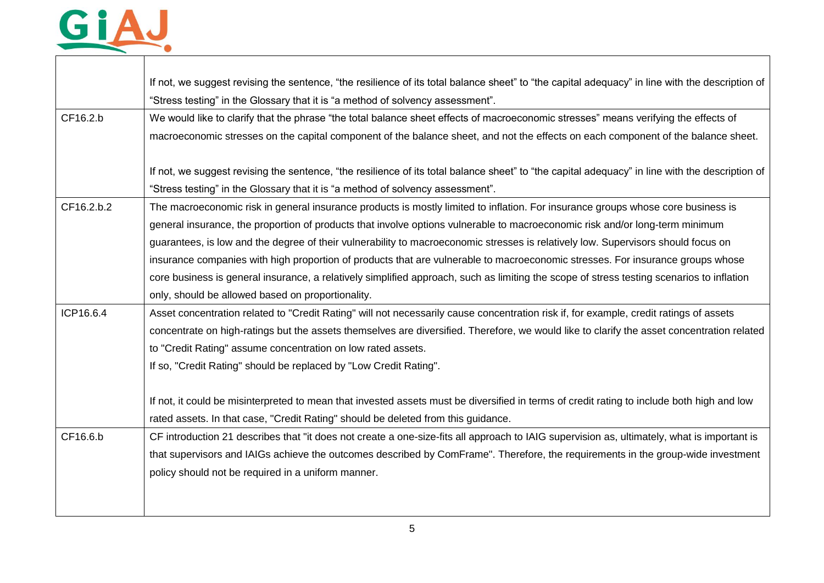

|            | If not, we suggest revising the sentence, "the resilience of its total balance sheet" to "the capital adequacy" in line with the description of |
|------------|-------------------------------------------------------------------------------------------------------------------------------------------------|
|            | "Stress testing" in the Glossary that it is "a method of solvency assessment".                                                                  |
| CF16.2.b   | We would like to clarify that the phrase "the total balance sheet effects of macroeconomic stresses" means verifying the effects of             |
|            | macroeconomic stresses on the capital component of the balance sheet, and not the effects on each component of the balance sheet.               |
|            | If not, we suggest revising the sentence, "the resilience of its total balance sheet" to "the capital adequacy" in line with the description of |
|            | "Stress testing" in the Glossary that it is "a method of solvency assessment".                                                                  |
| CF16.2.b.2 | The macroeconomic risk in general insurance products is mostly limited to inflation. For insurance groups whose core business is                |
|            | general insurance, the proportion of products that involve options vulnerable to macroeconomic risk and/or long-term minimum                    |
|            | guarantees, is low and the degree of their vulnerability to macroeconomic stresses is relatively low. Supervisors should focus on               |
|            | insurance companies with high proportion of products that are vulnerable to macroeconomic stresses. For insurance groups whose                  |
|            | core business is general insurance, a relatively simplified approach, such as limiting the scope of stress testing scenarios to inflation       |
|            | only, should be allowed based on proportionality.                                                                                               |
| ICP16.6.4  | Asset concentration related to "Credit Rating" will not necessarily cause concentration risk if, for example, credit ratings of assets          |
|            | concentrate on high-ratings but the assets themselves are diversified. Therefore, we would like to clarify the asset concentration related      |
|            | to "Credit Rating" assume concentration on low rated assets.                                                                                    |
|            | If so, "Credit Rating" should be replaced by "Low Credit Rating".                                                                               |
|            |                                                                                                                                                 |
|            | If not, it could be misinterpreted to mean that invested assets must be diversified in terms of credit rating to include both high and low      |
|            | rated assets. In that case, "Credit Rating" should be deleted from this guidance.                                                               |
| CF16.6.b   | CF introduction 21 describes that "it does not create a one-size-fits all approach to IAIG supervision as, ultimately, what is important is     |
|            | that supervisors and IAIGs achieve the outcomes described by ComFrame". Therefore, the requirements in the group-wide investment                |
|            | policy should not be required in a uniform manner.                                                                                              |
|            |                                                                                                                                                 |
|            |                                                                                                                                                 |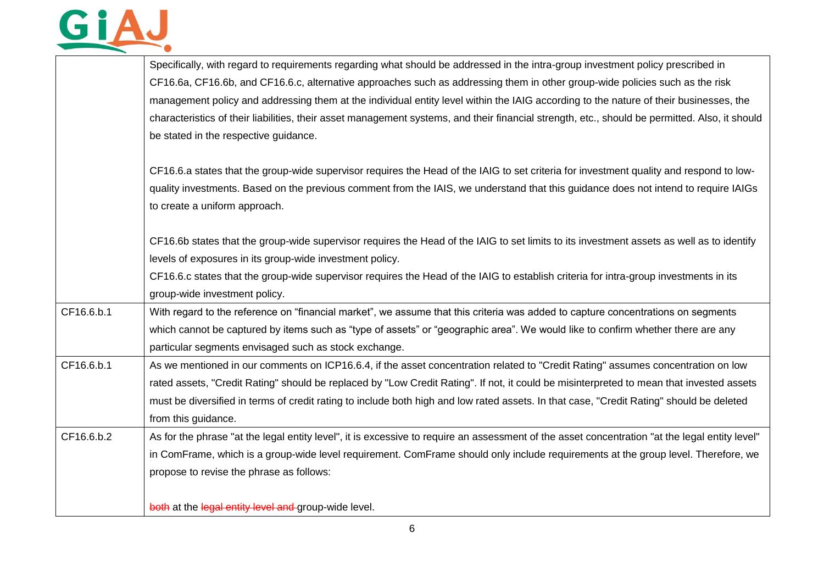

|            | Specifically, with regard to requirements regarding what should be addressed in the intra-group investment policy prescribed in                |
|------------|------------------------------------------------------------------------------------------------------------------------------------------------|
|            | CF16.6a, CF16.6b, and CF16.6.c, alternative approaches such as addressing them in other group-wide policies such as the risk                   |
|            | management policy and addressing them at the individual entity level within the IAIG according to the nature of their businesses, the          |
|            | characteristics of their liabilities, their asset management systems, and their financial strength, etc., should be permitted. Also, it should |
|            | be stated in the respective guidance.                                                                                                          |
|            |                                                                                                                                                |
|            | CF16.6.a states that the group-wide supervisor requires the Head of the IAIG to set criteria for investment quality and respond to low-        |
|            | quality investments. Based on the previous comment from the IAIS, we understand that this guidance does not intend to require IAIGs            |
|            | to create a uniform approach.                                                                                                                  |
|            |                                                                                                                                                |
|            | CF16.6b states that the group-wide supervisor requires the Head of the IAIG to set limits to its investment assets as well as to identify      |
|            | levels of exposures in its group-wide investment policy.                                                                                       |
|            | CF16.6.c states that the group-wide supervisor requires the Head of the IAIG to establish criteria for intra-group investments in its          |
|            | group-wide investment policy.                                                                                                                  |
| CF16.6.b.1 | With regard to the reference on "financial market", we assume that this criteria was added to capture concentrations on segments               |
|            | which cannot be captured by items such as "type of assets" or "geographic area". We would like to confirm whether there are any                |
|            | particular segments envisaged such as stock exchange.                                                                                          |
| CF16.6.b.1 | As we mentioned in our comments on ICP16.6.4, if the asset concentration related to "Credit Rating" assumes concentration on low               |
|            | rated assets, "Credit Rating" should be replaced by "Low Credit Rating". If not, it could be misinterpreted to mean that invested assets       |
|            | must be diversified in terms of credit rating to include both high and low rated assets. In that case, "Credit Rating" should be deleted       |
|            | from this guidance.                                                                                                                            |
| CF16.6.b.2 | As for the phrase "at the legal entity level", it is excessive to require an assessment of the asset concentration "at the legal entity level" |
|            | in ComFrame, which is a group-wide level requirement. ComFrame should only include requirements at the group level. Therefore, we              |
|            | propose to revise the phrase as follows:                                                                                                       |
|            |                                                                                                                                                |
|            | both at the legal entity level and group-wide level.                                                                                           |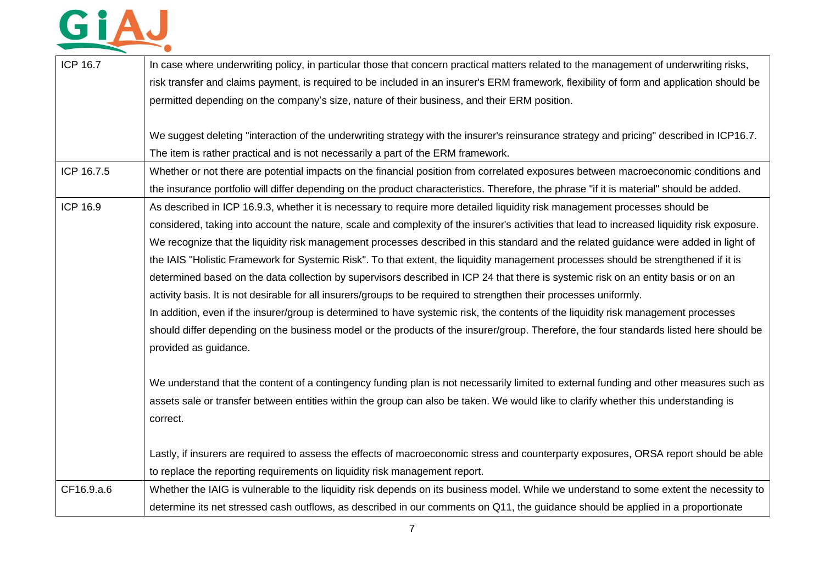| <b>ICP 16.7</b> | In case where underwriting policy, in particular those that concern practical matters related to the management of underwriting risks,       |
|-----------------|----------------------------------------------------------------------------------------------------------------------------------------------|
|                 | risk transfer and claims payment, is required to be included in an insurer's ERM framework, flexibility of form and application should be    |
|                 | permitted depending on the company's size, nature of their business, and their ERM position.                                                 |
|                 |                                                                                                                                              |
|                 | We suggest deleting "interaction of the underwriting strategy with the insurer's reinsurance strategy and pricing" described in ICP16.7.     |
|                 | The item is rather practical and is not necessarily a part of the ERM framework.                                                             |
| ICP 16.7.5      | Whether or not there are potential impacts on the financial position from correlated exposures between macroeconomic conditions and          |
|                 | the insurance portfolio will differ depending on the product characteristics. Therefore, the phrase "if it is material" should be added.     |
| <b>ICP 16.9</b> | As described in ICP 16.9.3, whether it is necessary to require more detailed liquidity risk management processes should be                   |
|                 | considered, taking into account the nature, scale and complexity of the insurer's activities that lead to increased liquidity risk exposure. |
|                 | We recognize that the liquidity risk management processes described in this standard and the related guidance were added in light of         |
|                 | the IAIS "Holistic Framework for Systemic Risk". To that extent, the liquidity management processes should be strengthened if it is          |
|                 | determined based on the data collection by supervisors described in ICP 24 that there is systemic risk on an entity basis or on an           |
|                 | activity basis. It is not desirable for all insurers/groups to be required to strengthen their processes uniformly.                          |
|                 | In addition, even if the insurer/group is determined to have systemic risk, the contents of the liquidity risk management processes          |
|                 | should differ depending on the business model or the products of the insurer/group. Therefore, the four standards listed here should be      |
|                 | provided as guidance.                                                                                                                        |
|                 |                                                                                                                                              |
|                 | We understand that the content of a contingency funding plan is not necessarily limited to external funding and other measures such as       |
|                 | assets sale or transfer between entities within the group can also be taken. We would like to clarify whether this understanding is          |
|                 | correct.                                                                                                                                     |
|                 |                                                                                                                                              |
|                 | Lastly, if insurers are required to assess the effects of macroeconomic stress and counterparty exposures, ORSA report should be able        |
|                 | to replace the reporting requirements on liquidity risk management report.                                                                   |
| CF16.9.a.6      | Whether the IAIG is vulnerable to the liquidity risk depends on its business model. While we understand to some extent the necessity to      |
|                 | determine its net stressed cash outflows, as described in our comments on Q11, the guidance should be applied in a proportionate             |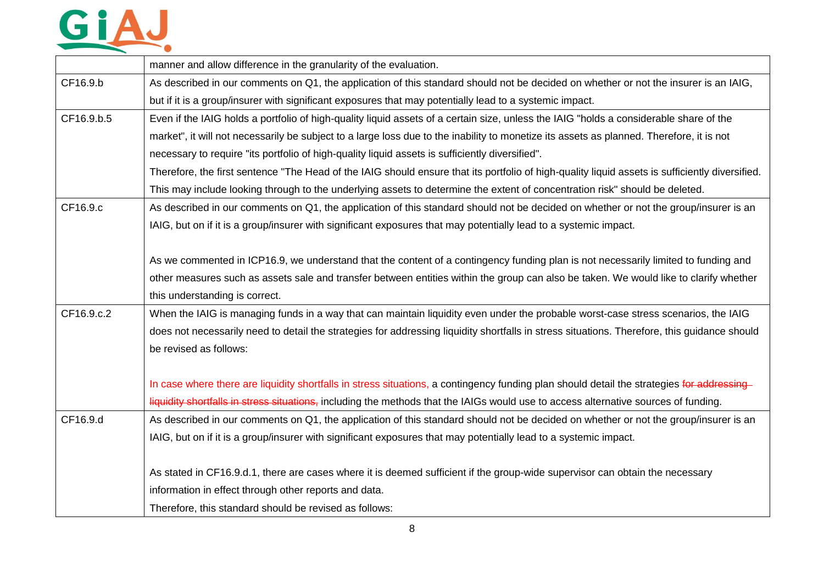# GIAJ

|            | manner and allow difference in the granularity of the evaluation.                                                                               |
|------------|-------------------------------------------------------------------------------------------------------------------------------------------------|
| CF16.9.b   | As described in our comments on Q1, the application of this standard should not be decided on whether or not the insurer is an IAIG,            |
|            | but if it is a group/insurer with significant exposures that may potentially lead to a systemic impact.                                         |
| CF16.9.b.5 | Even if the IAIG holds a portfolio of high-quality liquid assets of a certain size, unless the IAIG "holds a considerable share of the          |
|            | market", it will not necessarily be subject to a large loss due to the inability to monetize its assets as planned. Therefore, it is not        |
|            | necessary to require "its portfolio of high-quality liquid assets is sufficiently diversified".                                                 |
|            | Therefore, the first sentence "The Head of the IAIG should ensure that its portfolio of high-quality liquid assets is sufficiently diversified. |
|            | This may include looking through to the underlying assets to determine the extent of concentration risk" should be deleted.                     |
| CF16.9.c   | As described in our comments on Q1, the application of this standard should not be decided on whether or not the group/insurer is an            |
|            | IAIG, but on if it is a group/insurer with significant exposures that may potentially lead to a systemic impact.                                |
|            |                                                                                                                                                 |
|            | As we commented in ICP16.9, we understand that the content of a contingency funding plan is not necessarily limited to funding and              |
|            | other measures such as assets sale and transfer between entities within the group can also be taken. We would like to clarify whether           |
|            | this understanding is correct.                                                                                                                  |
| CF16.9.c.2 | When the IAIG is managing funds in a way that can maintain liquidity even under the probable worst-case stress scenarios, the IAIG              |
|            | does not necessarily need to detail the strategies for addressing liquidity shortfalls in stress situations. Therefore, this guidance should    |
|            | be revised as follows:                                                                                                                          |
|            |                                                                                                                                                 |
|            | In case where there are liquidity shortfalls in stress situations, a contingency funding plan should detail the strategies for addressing       |
|            | liquidity shortfalls in stress situations, including the methods that the IAIGs would use to access alternative sources of funding.             |
| CF16.9.d   | As described in our comments on Q1, the application of this standard should not be decided on whether or not the group/insurer is an            |
|            | IAIG, but on if it is a group/insurer with significant exposures that may potentially lead to a systemic impact.                                |
|            |                                                                                                                                                 |
|            | As stated in CF16.9.d.1, there are cases where it is deemed sufficient if the group-wide supervisor can obtain the necessary                    |
|            | information in effect through other reports and data.                                                                                           |
|            | Therefore, this standard should be revised as follows:                                                                                          |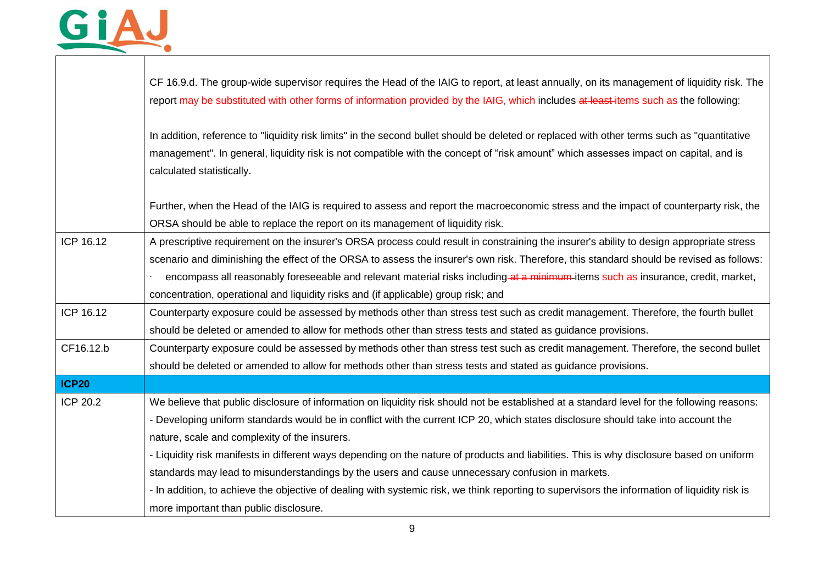

|              | CF 16.9.d. The group-wide supervisor requires the Head of the IAIG to report, at least annually, on its management of liquidity risk. The<br>report may be substituted with other forms of information provided by the IAIG, which includes at least-items such as the following:                                 |
|--------------|-------------------------------------------------------------------------------------------------------------------------------------------------------------------------------------------------------------------------------------------------------------------------------------------------------------------|
|              | In addition, reference to "liquidity risk limits" in the second bullet should be deleted or replaced with other terms such as "quantitative"<br>management". In general, liquidity risk is not compatible with the concept of "risk amount" which assesses impact on capital, and is<br>calculated statistically. |
|              | Further, when the Head of the IAIG is required to assess and report the macroeconomic stress and the impact of counterparty risk, the                                                                                                                                                                             |
|              | ORSA should be able to replace the report on its management of liquidity risk.                                                                                                                                                                                                                                    |
| ICP 16.12    | A prescriptive requirement on the insurer's ORSA process could result in constraining the insurer's ability to design appropriate stress                                                                                                                                                                          |
|              | scenario and diminishing the effect of the ORSA to assess the insurer's own risk. Therefore, this standard should be revised as follows:                                                                                                                                                                          |
|              | encompass all reasonably foreseeable and relevant material risks including at a minimum items such as insurance, credit, market,                                                                                                                                                                                  |
|              | concentration, operational and liquidity risks and (if applicable) group risk; and                                                                                                                                                                                                                                |
| ICP 16.12    | Counterparty exposure could be assessed by methods other than stress test such as credit management. Therefore, the fourth bullet                                                                                                                                                                                 |
|              | should be deleted or amended to allow for methods other than stress tests and stated as guidance provisions.                                                                                                                                                                                                      |
| CF16.12.b    | Counterparty exposure could be assessed by methods other than stress test such as credit management. Therefore, the second bullet                                                                                                                                                                                 |
|              | should be deleted or amended to allow for methods other than stress tests and stated as guidance provisions.                                                                                                                                                                                                      |
| <b>ICP20</b> |                                                                                                                                                                                                                                                                                                                   |
| ICP 20.2     | We believe that public disclosure of information on liquidity risk should not be established at a standard level for the following reasons:                                                                                                                                                                       |
|              | - Developing uniform standards would be in conflict with the current ICP 20, which states disclosure should take into account the                                                                                                                                                                                 |
|              | nature, scale and complexity of the insurers.                                                                                                                                                                                                                                                                     |
|              | - Liquidity risk manifests in different ways depending on the nature of products and liabilities. This is why disclosure based on uniform                                                                                                                                                                         |
|              | standards may lead to misunderstandings by the users and cause unnecessary confusion in markets.                                                                                                                                                                                                                  |
|              | - In addition, to achieve the objective of dealing with systemic risk, we think reporting to supervisors the information of liquidity risk is                                                                                                                                                                     |
|              | more important than public disclosure.                                                                                                                                                                                                                                                                            |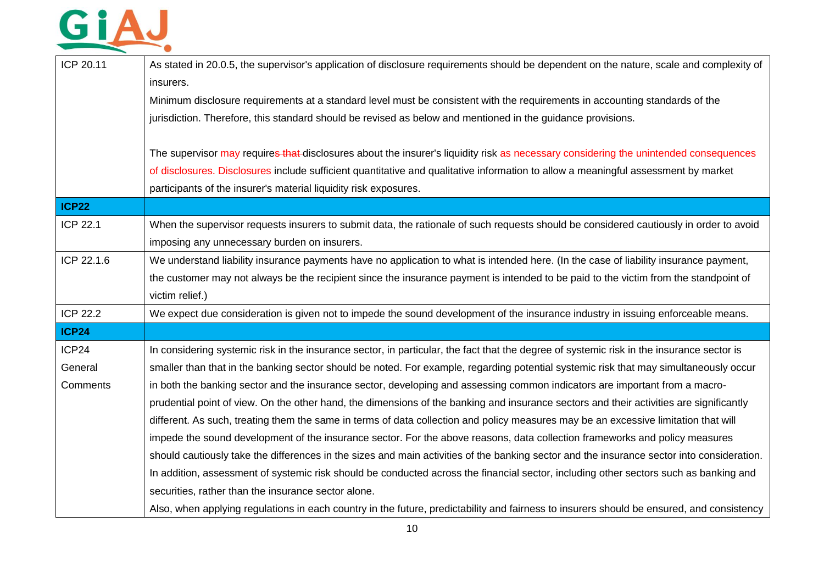| ICP 20.11       | As stated in 20.0.5, the supervisor's application of disclosure requirements should be dependent on the nature, scale and complexity of    |
|-----------------|--------------------------------------------------------------------------------------------------------------------------------------------|
|                 | insurers.                                                                                                                                  |
|                 | Minimum disclosure requirements at a standard level must be consistent with the requirements in accounting standards of the                |
|                 | jurisdiction. Therefore, this standard should be revised as below and mentioned in the guidance provisions.                                |
|                 |                                                                                                                                            |
|                 | The supervisor may requires that disclosures about the insurer's liquidity risk as necessary considering the unintended consequences       |
|                 | of disclosures. Disclosures include sufficient quantitative and qualitative information to allow a meaningful assessment by market         |
|                 | participants of the insurer's material liquidity risk exposures.                                                                           |
| ICP22           |                                                                                                                                            |
| ICP 22.1        | When the supervisor requests insurers to submit data, the rationale of such requests should be considered cautiously in order to avoid     |
|                 | imposing any unnecessary burden on insurers.                                                                                               |
| ICP 22.1.6      | We understand liability insurance payments have no application to what is intended here. (In the case of liability insurance payment,      |
|                 | the customer may not always be the recipient since the insurance payment is intended to be paid to the victim from the standpoint of       |
|                 | victim relief.)                                                                                                                            |
| <b>ICP 22.2</b> | We expect due consideration is given not to impede the sound development of the insurance industry in issuing enforceable means.           |
| <b>ICP24</b>    |                                                                                                                                            |
| ICP24           | In considering systemic risk in the insurance sector, in particular, the fact that the degree of systemic risk in the insurance sector is  |
| General         | smaller than that in the banking sector should be noted. For example, regarding potential systemic risk that may simultaneously occur      |
| Comments        | in both the banking sector and the insurance sector, developing and assessing common indicators are important from a macro-                |
|                 | prudential point of view. On the other hand, the dimensions of the banking and insurance sectors and their activities are significantly    |
|                 | different. As such, treating them the same in terms of data collection and policy measures may be an excessive limitation that will        |
|                 | impede the sound development of the insurance sector. For the above reasons, data collection frameworks and policy measures                |
|                 | should cautiously take the differences in the sizes and main activities of the banking sector and the insurance sector into consideration. |
|                 | In addition, assessment of systemic risk should be conducted across the financial sector, including other sectors such as banking and      |
|                 | securities, rather than the insurance sector alone.                                                                                        |
|                 | Also, when applying regulations in each country in the future, predictability and fairness to insurers should be ensured, and consistency  |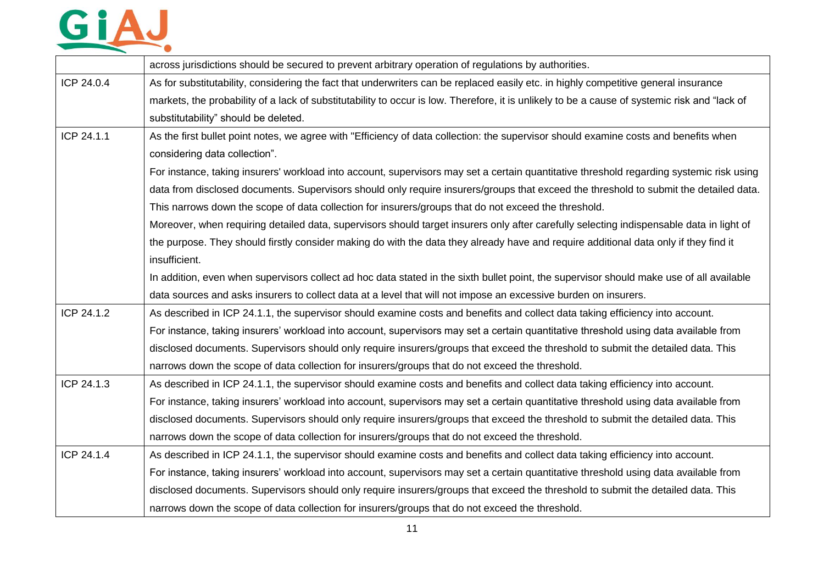# GIAJ

|            | across jurisdictions should be secured to prevent arbitrary operation of regulations by authorities.                                          |
|------------|-----------------------------------------------------------------------------------------------------------------------------------------------|
| ICP 24.0.4 | As for substitutability, considering the fact that underwriters can be replaced easily etc. in highly competitive general insurance           |
|            | markets, the probability of a lack of substitutability to occur is low. Therefore, it is unlikely to be a cause of systemic risk and "lack of |
|            | substitutability" should be deleted.                                                                                                          |
| ICP 24.1.1 | As the first bullet point notes, we agree with "Efficiency of data collection: the supervisor should examine costs and benefits when          |
|            | considering data collection".                                                                                                                 |
|            | For instance, taking insurers' workload into account, supervisors may set a certain quantitative threshold regarding systemic risk using      |
|            | data from disclosed documents. Supervisors should only require insurers/groups that exceed the threshold to submit the detailed data.         |
|            | This narrows down the scope of data collection for insurers/groups that do not exceed the threshold.                                          |
|            | Moreover, when requiring detailed data, supervisors should target insurers only after carefully selecting indispensable data in light of      |
|            | the purpose. They should firstly consider making do with the data they already have and require additional data only if they find it          |
|            | insufficient.                                                                                                                                 |
|            | In addition, even when supervisors collect ad hoc data stated in the sixth bullet point, the supervisor should make use of all available      |
|            | data sources and asks insurers to collect data at a level that will not impose an excessive burden on insurers.                               |
| ICP 24.1.2 | As described in ICP 24.1.1, the supervisor should examine costs and benefits and collect data taking efficiency into account.                 |
|            | For instance, taking insurers' workload into account, supervisors may set a certain quantitative threshold using data available from          |
|            | disclosed documents. Supervisors should only require insurers/groups that exceed the threshold to submit the detailed data. This              |
|            | narrows down the scope of data collection for insurers/groups that do not exceed the threshold.                                               |
| ICP 24.1.3 | As described in ICP 24.1.1, the supervisor should examine costs and benefits and collect data taking efficiency into account.                 |
|            | For instance, taking insurers' workload into account, supervisors may set a certain quantitative threshold using data available from          |
|            | disclosed documents. Supervisors should only require insurers/groups that exceed the threshold to submit the detailed data. This              |
|            | narrows down the scope of data collection for insurers/groups that do not exceed the threshold.                                               |
| ICP 24.1.4 | As described in ICP 24.1.1, the supervisor should examine costs and benefits and collect data taking efficiency into account.                 |
|            | For instance, taking insurers' workload into account, supervisors may set a certain quantitative threshold using data available from          |
|            | disclosed documents. Supervisors should only require insurers/groups that exceed the threshold to submit the detailed data. This              |
|            | narrows down the scope of data collection for insurers/groups that do not exceed the threshold.                                               |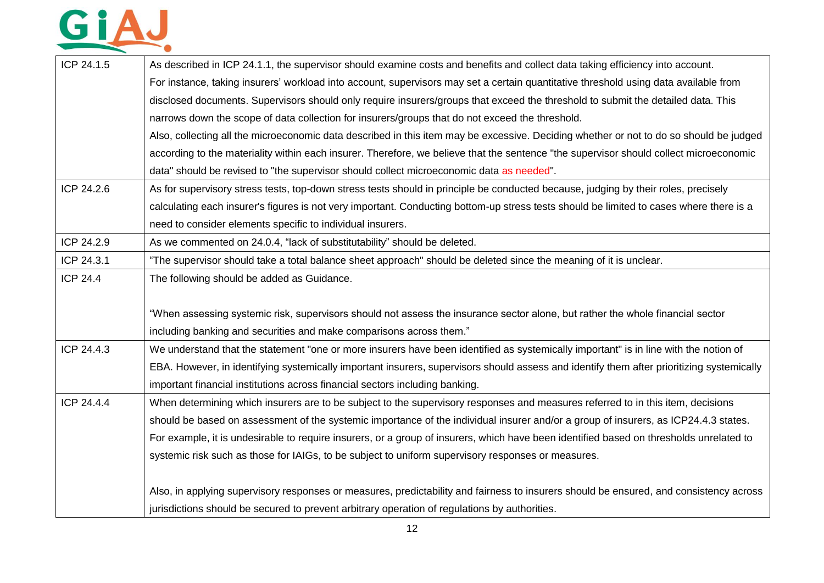| ICP 24.1.5 | As described in ICP 24.1.1, the supervisor should examine costs and benefits and collect data taking efficiency into account.             |
|------------|-------------------------------------------------------------------------------------------------------------------------------------------|
|            | For instance, taking insurers' workload into account, supervisors may set a certain quantitative threshold using data available from      |
|            | disclosed documents. Supervisors should only require insurers/groups that exceed the threshold to submit the detailed data. This          |
|            | narrows down the scope of data collection for insurers/groups that do not exceed the threshold.                                           |
|            | Also, collecting all the microeconomic data described in this item may be excessive. Deciding whether or not to do so should be judged    |
|            | according to the materiality within each insurer. Therefore, we believe that the sentence "the supervisor should collect microeconomic    |
|            | data" should be revised to "the supervisor should collect microeconomic data as needed".                                                  |
| ICP 24.2.6 | As for supervisory stress tests, top-down stress tests should in principle be conducted because, judging by their roles, precisely        |
|            | calculating each insurer's figures is not very important. Conducting bottom-up stress tests should be limited to cases where there is a   |
|            | need to consider elements specific to individual insurers.                                                                                |
| ICP 24.2.9 | As we commented on 24.0.4, "lack of substitutability" should be deleted.                                                                  |
| ICP 24.3.1 | "The supervisor should take a total balance sheet approach" should be deleted since the meaning of it is unclear.                         |
| ICP 24.4   | The following should be added as Guidance.                                                                                                |
|            |                                                                                                                                           |
|            | "When assessing systemic risk, supervisors should not assess the insurance sector alone, but rather the whole financial sector            |
|            | including banking and securities and make comparisons across them."                                                                       |
| ICP 24.4.3 | We understand that the statement "one or more insurers have been identified as systemically important" is in line with the notion of      |
|            | EBA. However, in identifying systemically important insurers, supervisors should assess and identify them after prioritizing systemically |
|            | important financial institutions across financial sectors including banking.                                                              |
| ICP 24.4.4 | When determining which insurers are to be subject to the supervisory responses and measures referred to in this item, decisions           |
|            | should be based on assessment of the systemic importance of the individual insurer and/or a group of insurers, as ICP24.4.3 states.       |
|            | For example, it is undesirable to require insurers, or a group of insurers, which have been identified based on thresholds unrelated to   |
|            | systemic risk such as those for IAIGs, to be subject to uniform supervisory responses or measures.                                        |
|            |                                                                                                                                           |
|            | Also, in applying supervisory responses or measures, predictability and fairness to insurers should be ensured, and consistency across    |
|            | jurisdictions should be secured to prevent arbitrary operation of regulations by authorities.                                             |